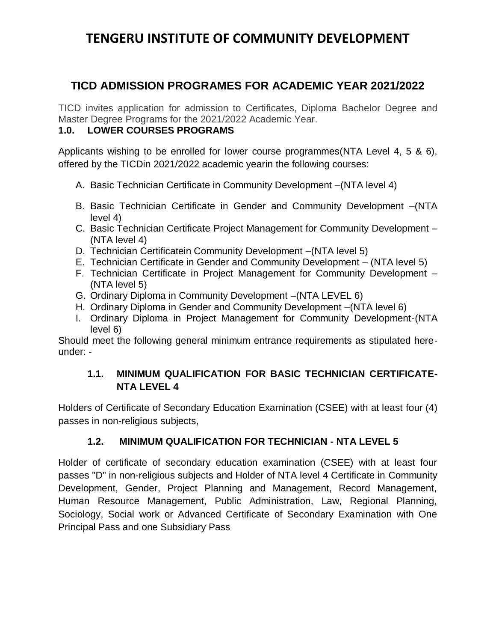## **TENGERU INSTITUTE OF COMMUNITY DEVELOPMENT**

### **TICD ADMISSION PROGRAMES FOR ACADEMIC YEAR 2021/2022**

TICD invites application for admission to Certificates, Diploma Bachelor Degree and Master Degree Programs for the 2021/2022 Academic Year.

#### **1.0. LOWER COURSES PROGRAMS**

Applicants wishing to be enrolled for lower course programmes(NTA Level 4, 5 & 6), offered by the TICDin 2021/2022 academic yearin the following courses:

- A. Basic Technician Certificate in Community Development –(NTA level 4)
- B. Basic Technician Certificate in Gender and Community Development –(NTA level 4)
- C. Basic Technician Certificate Project Management for Community Development (NTA level 4)
- D. Technician Certificatein Community Development –(NTA level 5)
- E. Technician Certificate in Gender and Community Development (NTA level 5)
- F. Technician Certificate in Project Management for Community Development (NTA level 5)
- G. Ordinary Diploma in Community Development –(NTA LEVEL 6)
- H. Ordinary Diploma in Gender and Community Development –(NTA level 6)
- I. Ordinary Diploma in Project Management for Community Development-(NTA level 6)

Should meet the following general minimum entrance requirements as stipulated hereunder: -

### **1.1. MINIMUM QUALIFICATION FOR BASIC TECHNICIAN CERTIFICATE-NTA LEVEL 4**

Holders of Certificate of Secondary Education Examination (CSEE) with at least four (4) passes in non-religious subjects,

### **1.2. MINIMUM QUALIFICATION FOR TECHNICIAN - NTA LEVEL 5**

Holder of certificate of secondary education examination (CSEE) with at least four passes "D" in non-religious subjects and Holder of NTA level 4 Certificate in Community Development, Gender, Project Planning and Management, Record Management, Human Resource Management, Public Administration, Law, Regional Planning, Sociology, Social work or Advanced Certificate of Secondary Examination with One Principal Pass and one Subsidiary Pass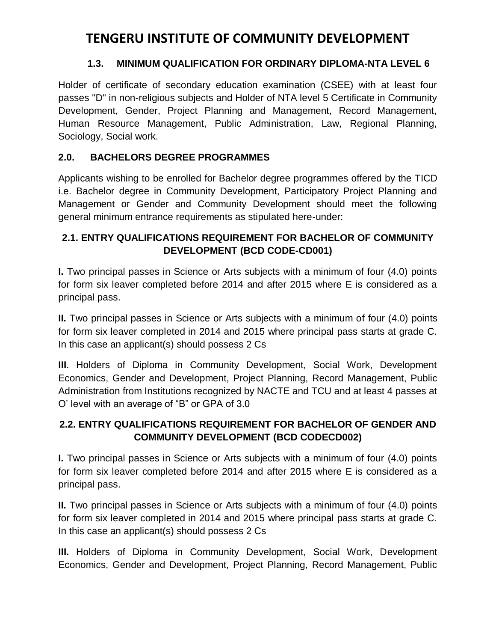## **TENGERU INSTITUTE OF COMMUNITY DEVELOPMENT**

#### **1.3. MINIMUM QUALIFICATION FOR ORDINARY DIPLOMA-NTA LEVEL 6**

Holder of certificate of secondary education examination (CSEE) with at least four passes "D" in non-religious subjects and Holder of NTA level 5 Certificate in Community Development, Gender, Project Planning and Management, Record Management, Human Resource Management, Public Administration, Law, Regional Planning, Sociology, Social work.

### **2.0. BACHELORS DEGREE PROGRAMMES**

Applicants wishing to be enrolled for Bachelor degree programmes offered by the TICD i.e. Bachelor degree in Community Development, Participatory Project Planning and Management or Gender and Community Development should meet the following general minimum entrance requirements as stipulated here-under:

#### **2.1. ENTRY QUALIFICATIONS REQUIREMENT FOR BACHELOR OF COMMUNITY DEVELOPMENT (BCD CODE-CD001)**

**I.** Two principal passes in Science or Arts subjects with a minimum of four (4.0) points for form six leaver completed before 2014 and after 2015 where E is considered as a principal pass.

**II.** Two principal passes in Science or Arts subjects with a minimum of four (4.0) points for form six leaver completed in 2014 and 2015 where principal pass starts at grade C. In this case an applicant(s) should possess 2 Cs

**III**. Holders of Diploma in Community Development, Social Work, Development Economics, Gender and Development, Project Planning, Record Management, Public Administration from Institutions recognized by NACTE and TCU and at least 4 passes at O' level with an average of "B" or GPA of 3.0

### **2.2. ENTRY QUALIFICATIONS REQUIREMENT FOR BACHELOR OF GENDER AND COMMUNITY DEVELOPMENT (BCD CODECD002)**

**I.** Two principal passes in Science or Arts subjects with a minimum of four (4.0) points for form six leaver completed before 2014 and after 2015 where E is considered as a principal pass.

**II.** Two principal passes in Science or Arts subjects with a minimum of four (4.0) points for form six leaver completed in 2014 and 2015 where principal pass starts at grade C. In this case an applicant(s) should possess 2 Cs

**III.** Holders of Diploma in Community Development, Social Work, Development Economics, Gender and Development, Project Planning, Record Management, Public